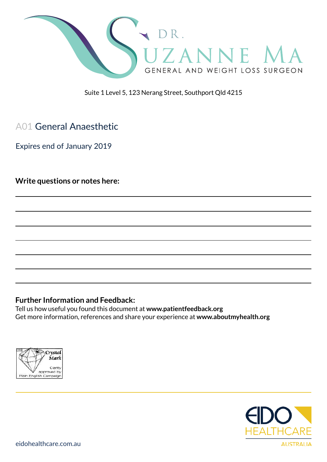

Suite 1 Level 5, 123 Nerang Street, Southport Qld 4215

# A01 General Anaesthetic

Expires end of January 2019

**Write questions or notes here:**

#### **Further Information and Feedback:**

Tell us how useful you found this document at **www.patientfeedback.org** Get more information, references and share your experience at **www.aboutmyhealth.org**



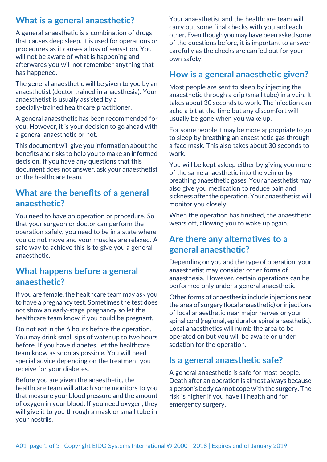# **What is a general anaesthetic?**

A general anaesthetic is a combination of drugs that causes deep sleep. It is used for operations or procedures as it causes a loss of sensation. You will not be aware of what is happening and afterwards you will not remember anything that has happened.

The general anaesthetic will be given to you by an anaesthetist (doctor trained in anaesthesia). Your anaesthetist is usually assisted by a specially-trained healthcare practitioner.

A general anaesthetic has been recommended for you. However, it is your decision to go ahead with a general anaesthetic or not.

This document will give you information about the benefits and risks to help you to make an informed decision. If you have any questions that this document does not answer, ask your anaesthetist or the healthcare team.

### **What are the benefits of a general anaesthetic?**

You need to have an operation or procedure. So that your surgeon or doctor can perform the operation safely, you need to be in a state where you do not move and your muscles are relaxed. A safe way to achieve this is to give you a general anaesthetic.

### **What happens before a general anaesthetic?**

If you are female, the healthcare team may ask you to have a pregnancy test. Sometimes the test does not show an early-stage pregnancy so let the healthcare team know if you could be pregnant.

Do not eat in the 6 hours before the operation. You may drink small sips of water up to two hours before. If you have diabetes, let the healthcare team know as soon as possible. You will need special advice depending on the treatment you receive for your diabetes.

Before you are given the anaesthetic, the healthcare team will attach some monitors to you that measure your blood pressure and the amount of oxygen in your blood. If you need oxygen, they will give it to you through a mask or small tube in your nostrils.

Your anaesthetist and the healthcare team will carry out some final checks with you and each other. Even though you may have been asked some of the questions before, it is important to answer carefully as the checks are carried out for your own safety.

### **How is a general anaesthetic given?**

Most people are sent to sleep by injecting the anaesthetic through a drip (small tube) in a vein. It takes about 30 seconds to work. The injection can ache a bit at the time but any discomfort will usually be gone when you wake up.

For some people it may be more appropriate to go to sleep by breathing an anaesthetic gas through a face mask. This also takes about 30 seconds to work.

You will be kept asleep either by giving you more of the same anaesthetic into the vein or by breathing anaesthetic gases. Your anaesthetist may also give you medication to reduce pain and sickness after the operation. Your anaesthetist will monitor you closely.

When the operation has finished, the anaesthetic wears off, allowing you to wake up again.

### **Are there any alternatives to a general anaesthetic?**

Depending on you and the type of operation, your anaesthetist may consider other forms of anaesthesia. However, certain operations can be performed only under a general anaesthetic.

Other forms of anaesthesia include injections near the area of surgery (local anaesthetic) or injections of local anaesthetic near major nerves or your spinal cord (regional, epidural or spinal anaesthetic). Local anaesthetics will numb the area to be operated on but you will be awake or under sedation for the operation.

## **Is a general anaesthetic safe?**

A general anaesthetic is safe for most people. Death after an operation is almost always because a person's body cannot cope with the surgery. The risk is higher if you have ill health and for emergency surgery.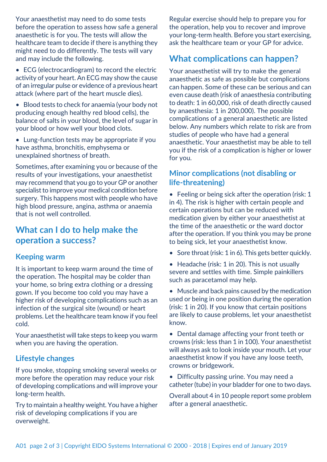Your anaesthetist may need to do some tests before the operation to assess how safe a general anaesthetic is for you. The tests will allow the healthcare team to decide if there is anything they might need to do differently. The tests will vary and may include the following.

- ECG (electrocardiogram) to record the electric activity of your heart. An ECG may show the cause of an irregular pulse or evidence of a previous heart attack (where part of the heart muscle dies).
- Blood tests to check for anaemia (your body not producing enough healthy red blood cells), the balance of salts in your blood, the level of sugar in your blood or how well your blood clots.
- Lung-function tests may be appropriate if you have asthma, bronchitis, emphysema or unexplained shortness of breath.

Sometimes, after examining you or because of the results of your investigations, your anaesthetist may recommend that you go to your GP or another specialist to improve your medical condition before surgery. This happens most with people who have high blood pressure, angina, asthma or anaemia that is not well controlled.

### **What can I do to help make the operation a success?**

### **Keeping warm**

It is important to keep warm around the time of the operation. The hospital may be colder than your home, so bring extra clothing or a dressing gown. If you become too cold you may have a higher risk of developing complications such as an infection of the surgical site (wound) or heart problems. Let the healthcare team know if you feel cold.

Your anaesthetist will take steps to keep you warm when you are having the operation.

### **Lifestyle changes**

If you smoke, stopping smoking several weeks or more before the operation may reduce your risk of developing complications and will improve your long-term health.

Try to maintain a healthy weight. You have a higher risk of developing complications if you are overweight.

Regular exercise should help to prepare you for the operation, help you to recover and improve your long-term health. Before you start exercising, ask the healthcare team or your GP for advice.

### **What complications can happen?**

Your anaesthetist will try to make the general anaesthetic as safe as possible but complications can happen. Some of these can be serious and can even cause death (risk of anaesthesia contributing to death: 1 in 60,000, risk of death directly caused by anaesthesia: 1 in 200,000). The possible complications of a general anaesthetic are listed below. Any numbers which relate to risk are from studies of people who have had a general anaesthetic. Your anaesthetist may be able to tell you if the risk of a complication is higher or lower for you.

### **Minor complications (not disabling or life-threatening)**

• Feeling or being sick after the operation (risk: 1 in 4). The risk is higher with certain people and certain operations but can be reduced with medication given by either your anaesthetist at the time of the anaesthetic or the ward doctor after the operation. If you think you may be prone to being sick, let your anaesthetist know.

- Sore throat (risk: 1 in 6). This gets better quickly.
- Headache (risk: 1 in 20). This is not usually severe and settles with time. Simple painkillers such as paracetamol may help.

• Muscle and back pains caused by the medication used or being in one position during the operation (risk: 1 in 20). If you know that certain positions are likely to cause problems, let your anaesthetist know.

• Dental damage affecting your front teeth or crowns (risk: less than 1 in 100). Your anaesthetist will always ask to look inside your mouth. Let your anaesthetist know if you have any loose teeth, crowns or bridgework.

• Difficulty passing urine. You may need a catheter (tube) in your bladder for one to two days.

Overall about 4 in 10 people report some problem after a general anaesthetic.